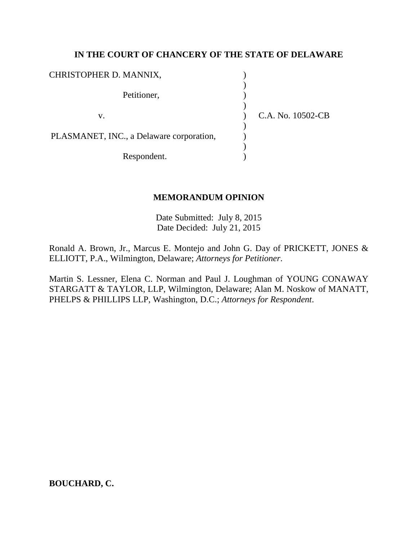## **IN THE COURT OF CHANCERY OF THE STATE OF DELAWARE**

| CHRISTOPHER D. MANNIX,                   |                   |  |
|------------------------------------------|-------------------|--|
| Petitioner,                              |                   |  |
| v.                                       | C.A. No. 10502-CB |  |
| PLASMANET, INC., a Delaware corporation, |                   |  |
| Respondent.                              |                   |  |

### **MEMORANDUM OPINION**

Date Submitted: July 8, 2015 Date Decided: July 21, 2015

Ronald A. Brown, Jr., Marcus E. Montejo and John G. Day of PRICKETT, JONES & ELLIOTT, P.A., Wilmington, Delaware; *Attorneys for Petitioner*.

Martin S. Lessner, Elena C. Norman and Paul J. Loughman of YOUNG CONAWAY STARGATT & TAYLOR, LLP, Wilmington, Delaware; Alan M. Noskow of MANATT, PHELPS & PHILLIPS LLP, Washington, D.C.; *Attorneys for Respondent*.

**BOUCHARD, C.**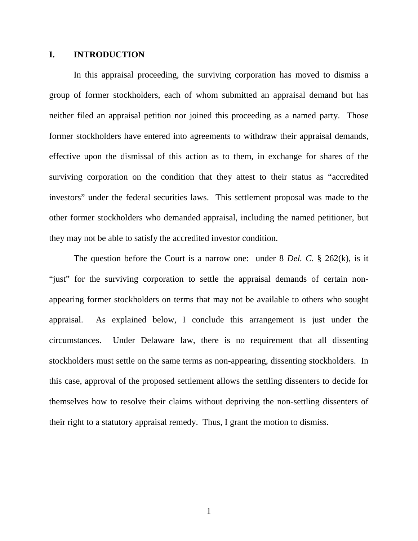#### **I. INTRODUCTION**

In this appraisal proceeding, the surviving corporation has moved to dismiss a group of former stockholders, each of whom submitted an appraisal demand but has neither filed an appraisal petition nor joined this proceeding as a named party. Those former stockholders have entered into agreements to withdraw their appraisal demands, effective upon the dismissal of this action as to them, in exchange for shares of the surviving corporation on the condition that they attest to their status as "accredited investors" under the federal securities laws. This settlement proposal was made to the other former stockholders who demanded appraisal, including the named petitioner, but they may not be able to satisfy the accredited investor condition.

The question before the Court is a narrow one: under 8 *Del. C.* § 262(k), is it "just" for the surviving corporation to settle the appraisal demands of certain nonappearing former stockholders on terms that may not be available to others who sought appraisal. As explained below, I conclude this arrangement is just under the circumstances. Under Delaware law, there is no requirement that all dissenting stockholders must settle on the same terms as non-appearing, dissenting stockholders. In this case, approval of the proposed settlement allows the settling dissenters to decide for themselves how to resolve their claims without depriving the non-settling dissenters of their right to a statutory appraisal remedy. Thus, I grant the motion to dismiss.

1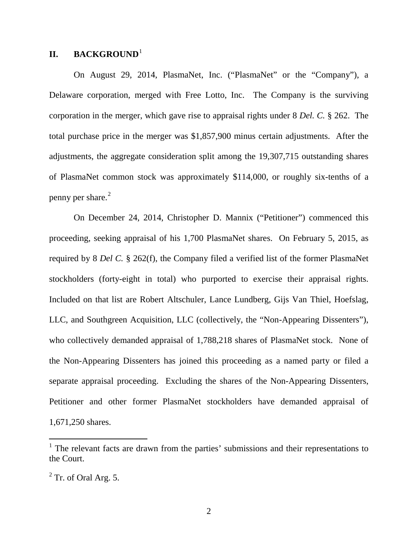# **II. BACKGROUND**[1](#page-2-0)

On August 29, 2014, PlasmaNet, Inc. ("PlasmaNet" or the "Company"), a Delaware corporation, merged with Free Lotto, Inc. The Company is the surviving corporation in the merger, which gave rise to appraisal rights under 8 *Del. C.* § 262. The total purchase price in the merger was \$1,857,900 minus certain adjustments. After the adjustments, the aggregate consideration split among the 19,307,715 outstanding shares of PlasmaNet common stock was approximately \$114,000, or roughly six-tenths of a penny per share. $^{2}$  $^{2}$  $^{2}$ 

On December 24, 2014, Christopher D. Mannix ("Petitioner") commenced this proceeding, seeking appraisal of his 1,700 PlasmaNet shares. On February 5, 2015, as required by 8 *Del C.* § 262(f), the Company filed a verified list of the former PlasmaNet stockholders (forty-eight in total) who purported to exercise their appraisal rights. Included on that list are Robert Altschuler, Lance Lundberg, Gijs Van Thiel, Hoefslag, LLC, and Southgreen Acquisition, LLC (collectively, the "Non-Appearing Dissenters"), who collectively demanded appraisal of 1,788,218 shares of PlasmaNet stock. None of the Non-Appearing Dissenters has joined this proceeding as a named party or filed a separate appraisal proceeding. Excluding the shares of the Non-Appearing Dissenters, Petitioner and other former PlasmaNet stockholders have demanded appraisal of 1,671,250 shares.

<span id="page-2-0"></span> $1$ . The relevant facts are drawn from the parties' submissions and their representations to the Court.

<span id="page-2-1"></span> $2$  Tr. of Oral Arg. 5.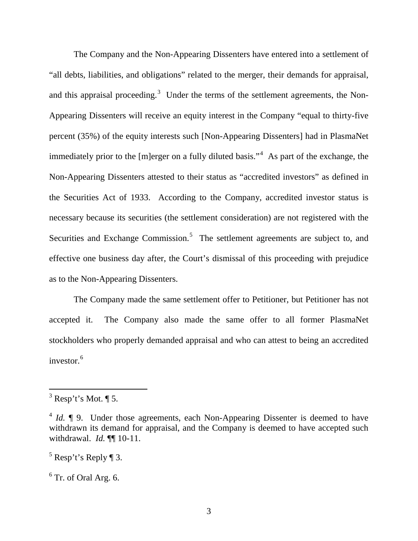The Company and the Non-Appearing Dissenters have entered into a settlement of "all debts, liabilities, and obligations" related to the merger, their demands for appraisal, and this appraisal proceeding. $3$  Under the terms of the settlement agreements, the Non-Appearing Dissenters will receive an equity interest in the Company "equal to thirty-five percent (35%) of the equity interests such [Non-Appearing Dissenters] had in PlasmaNet immediately prior to the [m]erger on a fully diluted basis."<sup>[4](#page-3-1)</sup> As part of the exchange, the Non-Appearing Dissenters attested to their status as "accredited investors" as defined in the Securities Act of 1933. According to the Company, accredited investor status is necessary because its securities (the settlement consideration) are not registered with the Securities and Exchange Commission.<sup>[5](#page-3-2)</sup> The settlement agreements are subject to, and effective one business day after, the Court's dismissal of this proceeding with prejudice as to the Non-Appearing Dissenters.

The Company made the same settlement offer to Petitioner, but Petitioner has not accepted it. The Company also made the same offer to all former PlasmaNet stockholders who properly demanded appraisal and who can attest to being an accredited investor.<sup>[6](#page-3-3)</sup>

<span id="page-3-0"></span> $3$  Resp't's Mot. ¶ 5.

<span id="page-3-1"></span><sup>&</sup>lt;sup>4</sup> *Id.* ¶ 9. Under those agreements, each Non-Appearing Dissenter is deemed to have withdrawn its demand for appraisal, and the Company is deemed to have accepted such withdrawal. *Id.* ¶¶ 10-11.

<span id="page-3-2"></span> $5$  Resp't's Reply ¶ 3.

<span id="page-3-3"></span> $6$  Tr. of Oral Arg. 6.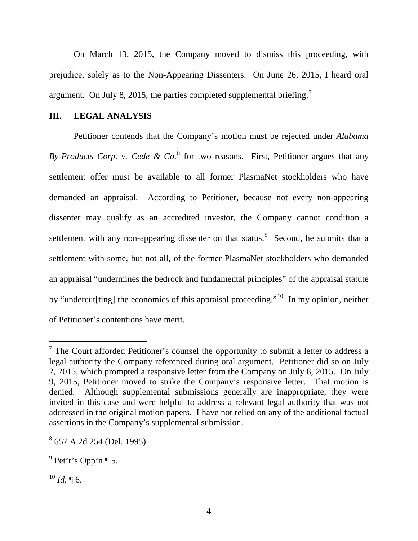On March 13, 2015, the Company moved to dismiss this proceeding, with prejudice, solely as to the Non-Appearing Dissenters. On June 26, 2015, I heard oral argument. On July 8, 2015, the parties completed supplemental briefing.[7](#page-4-0)

### **III. LEGAL ANALYSIS**

Petitioner contends that the Company's motion must be rejected under *Alabama By-Products Corp. v. Cede & Co.*[8](#page-4-1) for two reasons. First, Petitioner argues that any settlement offer must be available to all former PlasmaNet stockholders who have demanded an appraisal. According to Petitioner, because not every non-appearing dissenter may qualify as an accredited investor, the Company cannot condition a settlement with any non-appearing dissenter on that status.<sup>[9](#page-4-2)</sup> Second, he submits that a settlement with some, but not all, of the former PlasmaNet stockholders who demanded an appraisal "undermines the bedrock and fundamental principles" of the appraisal statute by "undercut[ting] the economics of this appraisal proceeding."<sup>10</sup> In my opinion, neither of Petitioner's contentions have merit.

<span id="page-4-0"></span> $7$  The Court afforded Petitioner's counsel the opportunity to submit a letter to address a legal authority the Company referenced during oral argument. Petitioner did so on July 2, 2015, which prompted a responsive letter from the Company on July 8, 2015. On July 9, 2015, Petitioner moved to strike the Company's responsive letter. That motion is denied. Although supplemental submissions generally are inappropriate, they were invited in this case and were helpful to address a relevant legal authority that was not addressed in the original motion papers. I have not relied on any of the additional factual assertions in the Company's supplemental submission.

<span id="page-4-1"></span><sup>8</sup> 657 A.2d 254 (Del. 1995).

<span id="page-4-2"></span> $9$  Pet'r's Opp'n ¶ 5.

<span id="page-4-3"></span> $^{10}$  *Id.* ¶ 6.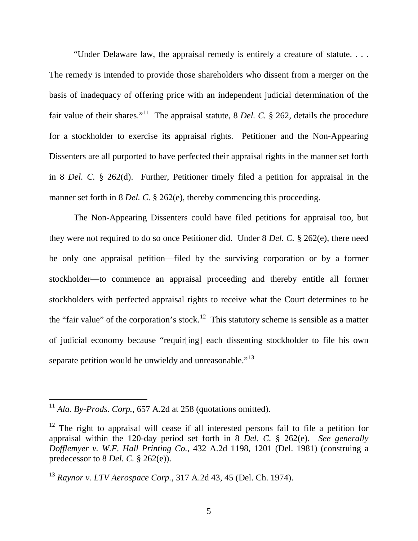"Under Delaware law, the appraisal remedy is entirely a creature of statute. . . .

The remedy is intended to provide those shareholders who dissent from a merger on the basis of inadequacy of offering price with an independent judicial determination of the fair value of their shares."<sup>11</sup> The appraisal statute, 8 *Del. C.* § 262, details the procedure for a stockholder to exercise its appraisal rights. Petitioner and the Non-Appearing Dissenters are all purported to have perfected their appraisal rights in the manner set forth in 8 *Del. C.* § 262(d). Further, Petitioner timely filed a petition for appraisal in the manner set forth in 8 *Del. C.* § 262(e), thereby commencing this proceeding.

The Non-Appearing Dissenters could have filed petitions for appraisal too, but they were not required to do so once Petitioner did. Under 8 *Del. C.* § 262(e), there need be only one appraisal petition—filed by the surviving corporation or by a former stockholder—to commence an appraisal proceeding and thereby entitle all former stockholders with perfected appraisal rights to receive what the Court determines to be the "fair value" of the corporation's stock.<sup>12</sup> This statutory scheme is sensible as a matter of judicial economy because "requir[ing] each dissenting stockholder to file his own separate petition would be unwieldy and unreasonable."<sup>[13](#page-5-2)</sup>

<span id="page-5-0"></span><sup>&</sup>lt;sup>11</sup> *Ala. By-Prods. Corp.*, 657 A.2d at 258 (quotations omitted).

<span id="page-5-1"></span> $12$  The right to appraisal will cease if all interested persons fail to file a petition for appraisal within the 120-day period set forth in 8 *Del. C.* § 262(e). *See generally Dofflemyer v. W.F. Hall Printing Co.*, 432 A.2d 1198, 1201 (Del. 1981) (construing a predecessor to 8 *Del. C.* § 262(e)).

<span id="page-5-2"></span><sup>13</sup> *Raynor v. LTV Aerospace Corp.*, 317 A.2d 43, 45 (Del. Ch. 1974).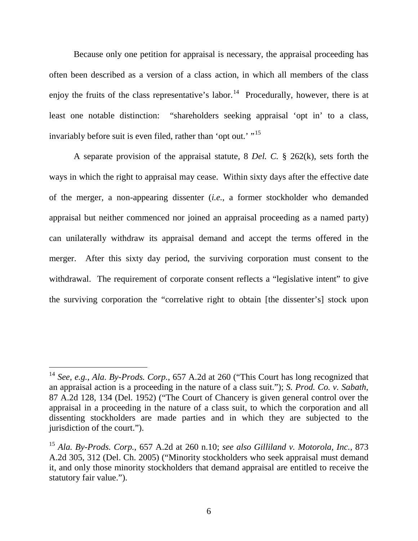Because only one petition for appraisal is necessary, the appraisal proceeding has often been described as a version of a class action, in which all members of the class enjoy the fruits of the class representative's labor.<sup>[14](#page-6-0)</sup> Procedurally, however, there is at least one notable distinction: "shareholders seeking appraisal 'opt in' to a class, invariably before suit is even filed, rather than 'opt out.' "<sup>[15](#page-6-1)</sup>

A separate provision of the appraisal statute, 8 *Del. C.* § 262(k), sets forth the ways in which the right to appraisal may cease. Within sixty days after the effective date of the merger, a non-appearing dissenter (*i.e.*, a former stockholder who demanded appraisal but neither commenced nor joined an appraisal proceeding as a named party) can unilaterally withdraw its appraisal demand and accept the terms offered in the merger. After this sixty day period, the surviving corporation must consent to the withdrawal. The requirement of corporate consent reflects a "legislative intent" to give the surviving corporation the "correlative right to obtain [the dissenter's] stock upon

<span id="page-6-0"></span><sup>14</sup> *See, e.g.*, *Ala. By-Prods. Corp.*, 657 A.2d at 260 ("This Court has long recognized that an appraisal action is a proceeding in the nature of a class suit."); *S. Prod. Co. v. Sabath*, 87 A.2d 128, 134 (Del. 1952) ("The Court of Chancery is given general control over the appraisal in a proceeding in the nature of a class suit, to which the corporation and all dissenting stockholders are made parties and in which they are subjected to the jurisdiction of the court.").

<span id="page-6-1"></span><sup>15</sup> *Ala. By-Prods. Corp.*, 657 A.2d at 260 n.10; *see also Gilliland v. Motorola, Inc.*, 873 A.2d 305, 312 (Del. Ch. 2005) ("Minority stockholders who seek appraisal must demand it, and only those minority stockholders that demand appraisal are entitled to receive the statutory fair value.").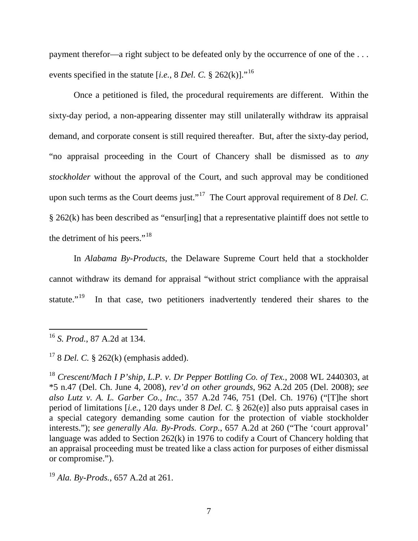payment therefor—a right subject to be defeated only by the occurrence of one of the ... events specified in the statute [*i.e.*, 8 *Del. C.* § 262(k)]."[16](#page-7-0)

Once a petitioned is filed, the procedural requirements are different. Within the sixty-day period, a non-appearing dissenter may still unilaterally withdraw its appraisal demand, and corporate consent is still required thereafter. But, after the sixty-day period, "no appraisal proceeding in the Court of Chancery shall be dismissed as to *any stockholder* without the approval of the Court, and such approval may be conditioned upon such terms as the Court deems just."<sup>17</sup> The Court approval requirement of 8 *Del. C.* § 262(k) has been described as "ensur[ing] that a representative plaintiff does not settle to the detriment of his peers."<sup>[18](#page-7-2)</sup>

In *Alabama By-Products*, the Delaware Supreme Court held that a stockholder cannot withdraw its demand for appraisal "without strict compliance with the appraisal statute."<sup>[19](#page-7-3)</sup> In that case, two petitioners inadvertently tendered their shares to the

<span id="page-7-0"></span><sup>16</sup> *S. Prod.*, 87 A.2d at 134.

<span id="page-7-1"></span><sup>17</sup> 8 *Del. C.* § 262(k) (emphasis added).

<span id="page-7-2"></span><sup>18</sup> *Crescent/Mach I P'ship, L.P. v. Dr Pepper Bottling Co. of Tex.*, 2008 WL 2440303, at \*5 n.47 (Del. Ch. June 4, 2008), *rev'd on other grounds*, 962 A.2d 205 (Del. 2008); *see also Lutz v. A. L. Garber Co., Inc.*, 357 A.2d 746, 751 (Del. Ch. 1976) ("[T]he short period of limitations [*i.e.*, 120 days under 8 *Del. C.* § 262(e)] also puts appraisal cases in a special category demanding some caution for the protection of viable stockholder interests."); *see generally Ala. By-Prods. Corp.*, 657 A.2d at 260 ("The 'court approval' language was added to Section 262(k) in 1976 to codify a Court of Chancery holding that an appraisal proceeding must be treated like a class action for purposes of either dismissal or compromise.").

<span id="page-7-3"></span><sup>19</sup> *Ala. By-Prods.*, 657 A.2d at 261.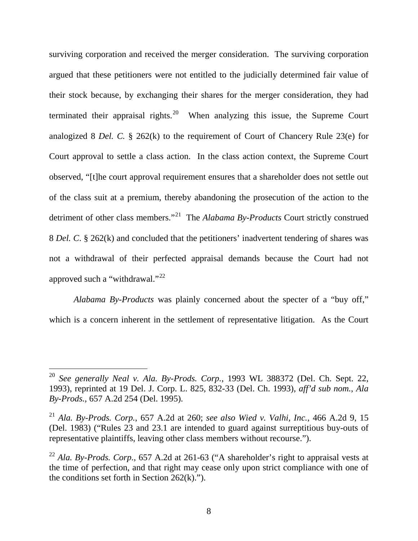surviving corporation and received the merger consideration. The surviving corporation argued that these petitioners were not entitled to the judicially determined fair value of their stock because, by exchanging their shares for the merger consideration, they had terminated their appraisal rights.<sup>20</sup> When analyzing this issue, the Supreme Court analogized 8 *Del. C.* § 262(k) to the requirement of Court of Chancery Rule 23(e) for Court approval to settle a class action. In the class action context, the Supreme Court observed, "[t]he court approval requirement ensures that a shareholder does not settle out of the class suit at a premium, thereby abandoning the prosecution of the action to the detriment of other class members."[21](#page-8-1) The *Alabama By-Products* Court strictly construed 8 *Del. C*. § 262(k) and concluded that the petitioners' inadvertent tendering of shares was not a withdrawal of their perfected appraisal demands because the Court had not approved such a "withdrawal." $^{22}$  $^{22}$  $^{22}$ 

*Alabama By-Products* was plainly concerned about the specter of a "buy off," which is a concern inherent in the settlement of representative litigation. As the Court

<span id="page-8-0"></span><sup>20</sup> *See generally Neal v. Ala. By-Prods. Corp.*, 1993 WL 388372 (Del. Ch. Sept. 22, 1993), reprinted at 19 Del. J. Corp. L. 825, 832-33 (Del. Ch. 1993), *aff'd sub nom.*, *Ala By-Prods.*, 657 A.2d 254 (Del. 1995).

<span id="page-8-1"></span><sup>21</sup> *Ala. By-Prods. Corp.*, 657 A.2d at 260; *see also Wied v. Valhi, Inc.*, 466 A.2d 9, 15 (Del. 1983) ("Rules 23 and 23.1 are intended to guard against surreptitious buy-outs of representative plaintiffs, leaving other class members without recourse.").

<span id="page-8-2"></span><sup>22</sup> *Ala. By-Prods. Corp.*, 657 A.2d at 261-63 ("A shareholder's right to appraisal vests at the time of perfection, and that right may cease only upon strict compliance with one of the conditions set forth in Section  $262(k)$ .").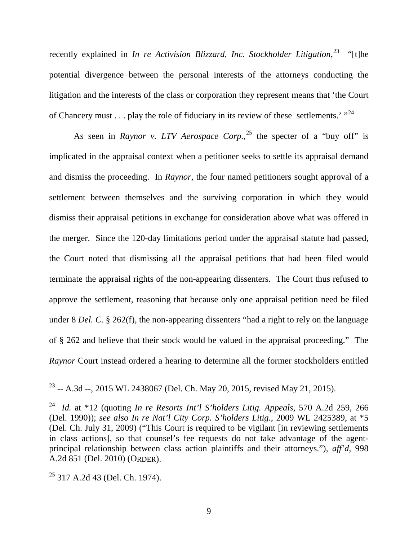recently explained in *In re Activision Blizzard, Inc. Stockholder Litigation*, [23](#page-9-0) "[t]he potential divergence between the personal interests of the attorneys conducting the litigation and the interests of the class or corporation they represent means that 'the Court of Chancery must . . . play the role of fiduciary in its review of these settlements.'  $"^{24}$  $"^{24}$  $"^{24}$ 

As seen in *Raynor v. LTV Aerospace Corp.*<sup>[25](#page-9-2)</sup> the specter of a "buy off" is implicated in the appraisal context when a petitioner seeks to settle its appraisal demand and dismiss the proceeding. In *Raynor*, the four named petitioners sought approval of a settlement between themselves and the surviving corporation in which they would dismiss their appraisal petitions in exchange for consideration above what was offered in the merger. Since the 120-day limitations period under the appraisal statute had passed, the Court noted that dismissing all the appraisal petitions that had been filed would terminate the appraisal rights of the non-appearing dissenters. The Court thus refused to approve the settlement, reasoning that because only one appraisal petition need be filed under 8 *Del. C.* § 262(f), the non-appearing dissenters "had a right to rely on the language of § 262 and believe that their stock would be valued in the appraisal proceeding." The *Raynor* Court instead ordered a hearing to determine all the former stockholders entitled

<span id="page-9-0"></span><sup>&</sup>lt;sup>23</sup> -- A.3d --, 2015 WL 2438067 (Del. Ch. May 20, 2015, revised May 21, 2015).  $\overline{a}$ 

<span id="page-9-1"></span><sup>24</sup> *Id.* at \*12 (quoting *In re Resorts Int'l S'holders Litig. Appeals*, 570 A.2d 259, 266 (Del. 1990)); *see also In re Nat'l City Corp. S'holders Litig.*, 2009 WL 2425389, at \*5 (Del. Ch. July 31, 2009) ("This Court is required to be vigilant [in reviewing settlements in class actions], so that counsel's fee requests do not take advantage of the agentprincipal relationship between class action plaintiffs and their attorneys."), *aff'd*, 998 A.2d 851 (Del. 2010) (ORDER).

<span id="page-9-2"></span><sup>25</sup> 317 A.2d 43 (Del. Ch. 1974).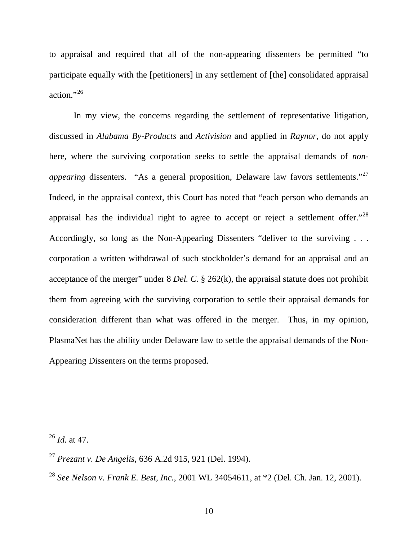to appraisal and required that all of the non-appearing dissenters be permitted "to participate equally with the [petitioners] in any settlement of [the] consolidated appraisal action." $^{26}$ 

In my view, the concerns regarding the settlement of representative litigation, discussed in *Alabama By-Products* and *Activision* and applied in *Raynor*, do not apply here, where the surviving corporation seeks to settle the appraisal demands of *nonappearing* dissenters. "As a general proposition, Delaware law favors settlements."<sup>[27](#page-10-1)</sup> Indeed, in the appraisal context, this Court has noted that "each person who demands an appraisal has the individual right to agree to accept or reject a settlement offer.<sup> $28$ </sup> Accordingly, so long as the Non-Appearing Dissenters "deliver to the surviving . . . corporation a written withdrawal of such stockholder's demand for an appraisal and an acceptance of the merger" under 8 *Del. C.* § 262(k), the appraisal statute does not prohibit them from agreeing with the surviving corporation to settle their appraisal demands for consideration different than what was offered in the merger. Thus, in my opinion, PlasmaNet has the ability under Delaware law to settle the appraisal demands of the Non-Appearing Dissenters on the terms proposed.

<span id="page-10-0"></span><sup>26</sup> *Id.* at 47.

<span id="page-10-1"></span><sup>27</sup> *Prezant v. De Angelis*, 636 A.2d 915, 921 (Del. 1994).

<span id="page-10-2"></span><sup>28</sup> *See Nelson v. Frank E. Best, Inc.*, 2001 WL 34054611, at \*2 (Del. Ch. Jan. 12, 2001).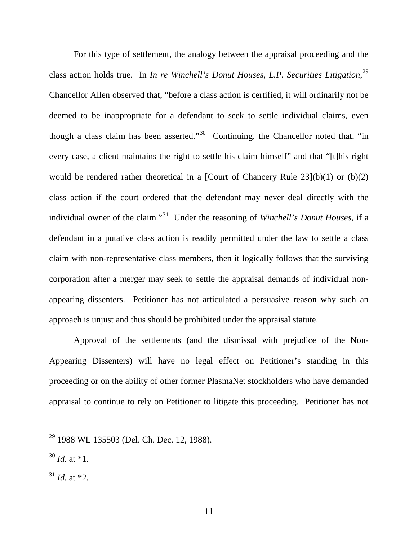For this type of settlement, the analogy between the appraisal proceeding and the class action holds true. In *In re Winchell's Donut Houses, L.P. Securities Litigation*, [29](#page-11-0) Chancellor Allen observed that, "before a class action is certified, it will ordinarily not be deemed to be inappropriate for a defendant to seek to settle individual claims, even though a class claim has been asserted."<sup>[30](#page-11-1)</sup> Continuing, the Chancellor noted that, "in every case, a client maintains the right to settle his claim himself" and that "[t]his right would be rendered rather theoretical in a [Court of Chancery Rule  $23(1)(b)(1)$  or  $(b)(2)$ ] class action if the court ordered that the defendant may never deal directly with the individual owner of the claim."[31](#page-11-2) Under the reasoning of *Winchell's Donut Houses*, if a defendant in a putative class action is readily permitted under the law to settle a class claim with non-representative class members, then it logically follows that the surviving corporation after a merger may seek to settle the appraisal demands of individual nonappearing dissenters. Petitioner has not articulated a persuasive reason why such an approach is unjust and thus should be prohibited under the appraisal statute.

Approval of the settlements (and the dismissal with prejudice of the Non-Appearing Dissenters) will have no legal effect on Petitioner's standing in this proceeding or on the ability of other former PlasmaNet stockholders who have demanded appraisal to continue to rely on Petitioner to litigate this proceeding. Petitioner has not

<span id="page-11-0"></span><sup>&</sup>lt;sup>29</sup> 1988 WL 135503 (Del. Ch. Dec. 12, 1988).

<span id="page-11-1"></span> $30$  *Id.* at \*1.

<span id="page-11-2"></span> $31$  *Id.* at \*2.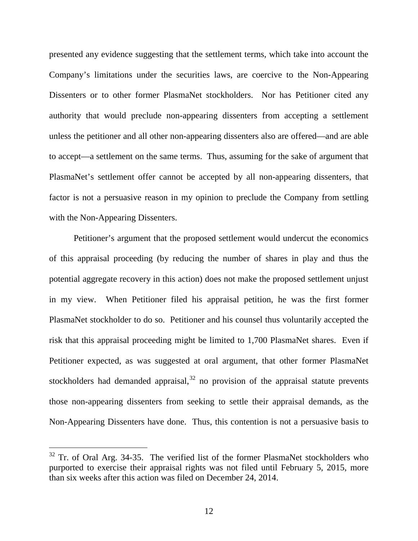presented any evidence suggesting that the settlement terms, which take into account the Company's limitations under the securities laws, are coercive to the Non-Appearing Dissenters or to other former PlasmaNet stockholders. Nor has Petitioner cited any authority that would preclude non-appearing dissenters from accepting a settlement unless the petitioner and all other non-appearing dissenters also are offered—and are able to accept—a settlement on the same terms. Thus, assuming for the sake of argument that PlasmaNet's settlement offer cannot be accepted by all non-appearing dissenters, that factor is not a persuasive reason in my opinion to preclude the Company from settling with the Non-Appearing Dissenters.

Petitioner's argument that the proposed settlement would undercut the economics of this appraisal proceeding (by reducing the number of shares in play and thus the potential aggregate recovery in this action) does not make the proposed settlement unjust in my view. When Petitioner filed his appraisal petition, he was the first former PlasmaNet stockholder to do so. Petitioner and his counsel thus voluntarily accepted the risk that this appraisal proceeding might be limited to 1,700 PlasmaNet shares. Even if Petitioner expected, as was suggested at oral argument, that other former PlasmaNet stockholders had demanded appraisal,  $32$  no provision of the appraisal statute prevents those non-appearing dissenters from seeking to settle their appraisal demands, as the Non-Appearing Dissenters have done. Thus, this contention is not a persuasive basis to

<span id="page-12-0"></span><sup>&</sup>lt;sup>32</sup> Tr. of Oral Arg. 34-35. The verified list of the former PlasmaNet stockholders who purported to exercise their appraisal rights was not filed until February 5, 2015, more than six weeks after this action was filed on December 24, 2014.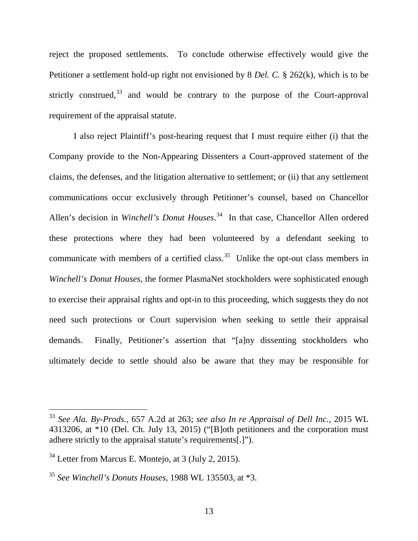reject the proposed settlements. To conclude otherwise effectively would give the Petitioner a settlement hold-up right not envisioned by 8 *Del. C.* § 262(k), which is to be strictly construed,  $33$  and would be contrary to the purpose of the Court-approval requirement of the appraisal statute.

I also reject Plaintiff's post-hearing request that I must require either (i) that the Company provide to the Non-Appearing Dissenters a Court-approved statement of the claims, the defenses, and the litigation alternative to settlement; or (ii) that any settlement communications occur exclusively through Petitioner's counsel, based on Chancellor Allen's decision in *Winchell's Donut Houses*. [34](#page-13-1) In that case, Chancellor Allen ordered these protections where they had been volunteered by a defendant seeking to communicate with members of a certified class.<sup>[35](#page-13-2)</sup> Unlike the opt-out class members in *Winchell's Donut Houses*, the former PlasmaNet stockholders were sophisticated enough to exercise their appraisal rights and opt-in to this proceeding, which suggests they do not need such protections or Court supervision when seeking to settle their appraisal demands. Finally, Petitioner's assertion that "[a]ny dissenting stockholders who ultimately decide to settle should also be aware that they may be responsible for

<span id="page-13-0"></span><sup>33</sup> *See Ala. By-Prods.*, 657 A.2d at 263; *see also In re Appraisal of Dell Inc.*, 2015 WL 4313206, at \*10 (Del. Ch. July 13, 2015) ("[B]oth petitioners and the corporation must adhere strictly to the appraisal statute's requirements[.]").

<span id="page-13-1"></span><sup>34</sup> Letter from Marcus E. Montejo, at 3 (July 2, 2015).

<span id="page-13-2"></span><sup>35</sup> *See Winchell's Donuts Houses*, 1988 WL 135503, at \*3.